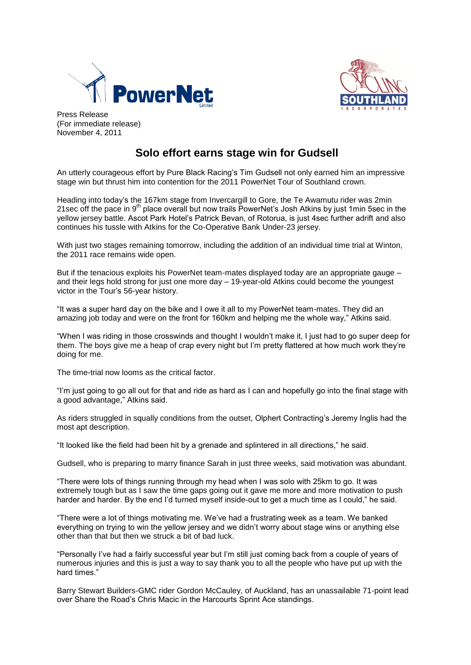



Press Release (For immediate release) November 4, 2011

# **Solo effort earns stage win for Gudsell**

An utterly courageous effort by Pure Black Racing's Tim Gudsell not only earned him an impressive stage win but thrust him into contention for the 2011 PowerNet Tour of Southland crown.

Heading into today's the 167km stage from Invercargill to Gore, the Te Awamutu rider was 2min 21sec off the pace in 9<sup>th</sup> place overall but now trails PowerNet's Josh Atkins by just 1min 5sec in the yellow jersey battle. Ascot Park Hotel's Patrick Bevan, of Rotorua, is just 4sec further adrift and also continues his tussle with Atkins for the Co-Operative Bank Under-23 jersey.

With just two stages remaining tomorrow, including the addition of an individual time trial at Winton, the 2011 race remains wide open.

But if the tenacious exploits his PowerNet team-mates displayed today are an appropriate gauge – and their legs hold strong for just one more day – 19-year-old Atkins could become the youngest victor in the Tour's 56-year history.

"It was a super hard day on the bike and I owe it all to my PowerNet team-mates. They did an amazing job today and were on the front for 160km and helping me the whole way," Atkins said.

"When I was riding in those crosswinds and thought I wouldn't make it, I just had to go super deep for them. The boys give me a heap of crap every night but I'm pretty flattered at how much work they're doing for me.

The time-trial now looms as the critical factor.

"I'm just going to go all out for that and ride as hard as I can and hopefully go into the final stage with a good advantage," Atkins said.

As riders struggled in squally conditions from the outset, Olphert Contracting's Jeremy Inglis had the most apt description.

"It looked like the field had been hit by a grenade and splintered in all directions," he said.

Gudsell, who is preparing to marry finance Sarah in just three weeks, said motivation was abundant.

"There were lots of things running through my head when I was solo with 25km to go. It was extremely tough but as I saw the time gaps going out it gave me more and more motivation to push harder and harder. By the end I'd turned myself inside-out to get a much time as I could," he said.

"There were a lot of things motivating me. We've had a frustrating week as a team. We banked everything on trying to win the yellow jersey and we didn't worry about stage wins or anything else other than that but then we struck a bit of bad luck.

"Personally I've had a fairly successful year but I'm still just coming back from a couple of years of numerous injuries and this is just a way to say thank you to all the people who have put up with the hard times."

Barry Stewart Builders-GMC rider Gordon McCauley, of Auckland, has an unassailable 71-point lead over Share the Road's Chris Macic in the Harcourts Sprint Ace standings.